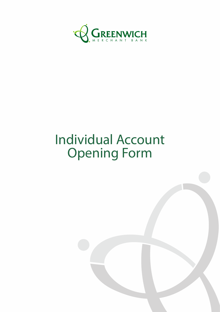

# Individual Account Opening Form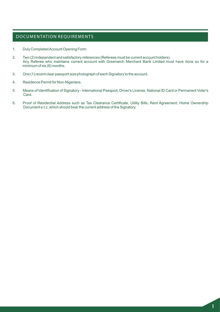## DOCUMENTATION REQUIREMENTS

- 1. Duly Completed Account Opening Form.
- 2. Two (2) independent and satisfactory references (Referees must be current account holders). Any Referee who maintains current account with Greenwich Merchant Bank Limited must have done so for a minimum of six (6) months.
- 3. One (1) recent clear passport size photograph of each Signatory to the account.
- 4. Residence Permit for Non-Nigerians.
- 5. Means of Identification of Signatory International Passport, Driver's License, National ID Card or Permanent Voter's Card.
- 6. Proof of Residential Address such as Tax Clearance Certificate, Utility Bills, Rent Agreement, Home Ownership Document e.t.c. which should bear the current address of the Signatory.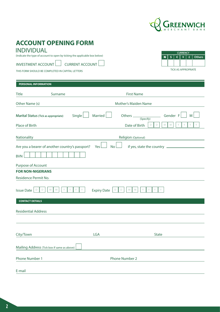

 $\mathbf{R}$ 

TICK AS APPROPRIATE

**\$ € ¥ £ Others CURRENCY**

# **ACCOUNT OPENING FORM**

# INDIVIDUAL

(Indicate the type of account to open by ticking the applicable box below)

INVESTMENT ACCOUNT LUIT CURRENT ACCOUNT

THIS FORM SHOULD BE COMPLETED IN CAPITAL LETTERS

| PERSONAL INFORMATION                 |                                                 |                         |                                            |
|--------------------------------------|-------------------------------------------------|-------------------------|--------------------------------------------|
| <b>Title</b>                         | Surname                                         |                         | <b>First Name</b>                          |
| Other Name (s)                       |                                                 |                         | Mother's Maiden Name                       |
| Marital Status (Tick as appropriate) |                                                 | Married<br>Single       | Gender F<br>Others _____<br>M<br>(Specify) |
| Place of Birth                       |                                                 |                         | Date of Birth<br>D<br>M<br>M<br>D          |
| Nationality                          |                                                 |                         | Religion (Optional)                        |
|                                      | Are you a bearer of another country's passport? | Yes<br><b>No</b>        | if yes, state the country _____            |
| <b>BVN</b>                           |                                                 |                         |                                            |
| Purpose of Account                   |                                                 |                         |                                            |
| <b>FOR NON-NIGERIANS</b>             |                                                 |                         |                                            |
| Residence Permit No.                 |                                                 |                         |                                            |
| <b>Issue Date</b><br>D<br>D          | M<br>M                                          | <b>Expiry Date</b><br>D | Y<br>M<br>M<br>D                           |
| <b>CONTACT DETAILS</b>               |                                                 |                         |                                            |
| <b>Residential Address</b>           |                                                 |                         |                                            |
|                                      |                                                 |                         |                                            |
| City/Town                            |                                                 | LGA                     | <b>State</b>                               |
|                                      | Mailing Address (Tick box if same as above)     |                         |                                            |
| Phone Number 1                       |                                                 |                         | Phone Number 2                             |
| E-mail                               |                                                 |                         |                                            |
|                                      |                                                 |                         |                                            |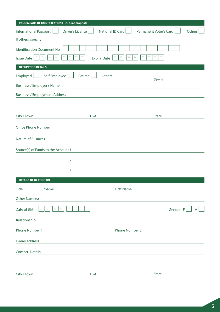| <b>VALID MEANS OF IDENTIFICATION (Tick as appropriate)</b> |                  |                                                                                                                      |                               |          |        |
|------------------------------------------------------------|------------------|----------------------------------------------------------------------------------------------------------------------|-------------------------------|----------|--------|
| <b>International Passport</b>                              | Driver's License | National ID Card                                                                                                     | <b>Permanent Voter's Card</b> |          | Others |
| If others, specify                                         |                  |                                                                                                                      |                               |          |        |
| Identification Document No.                                |                  |                                                                                                                      |                               |          |        |
| Y<br>$M_{\odot}$<br>M<br>D<br>D<br>Issue Date              | Y<br>Y           | M<br>D<br><b>Expiry Date</b><br>D                                                                                    | Y<br>M                        |          |        |
| <b>OCCUPATION DETAILS</b>                                  |                  |                                                                                                                      |                               |          |        |
| Self Employed<br>Employed                                  | Retired          |                                                                                                                      | (Specify)                     |          |        |
| <b>Business / Employer's Name</b>                          |                  | <u> 1989 - Johann Stein, marwolaethau a bhann an t-Amhair ann an t-Amhair an t-Amhair an t-Amhair an t-Amhair an</u> |                               |          |        |
| <b>Business / Employment Address</b>                       |                  |                                                                                                                      |                               |          |        |
|                                                            |                  |                                                                                                                      |                               |          |        |
| City / Town                                                | LGA              |                                                                                                                      | <b>State</b>                  |          |        |
| Office Phone Number                                        |                  |                                                                                                                      |                               |          |        |
| <b>Nature of Business</b>                                  |                  |                                                                                                                      |                               |          |        |
| Source(s) of Funds to the Account 1.                       |                  |                                                                                                                      |                               |          |        |
|                                                            |                  |                                                                                                                      |                               |          |        |
|                                                            |                  |                                                                                                                      |                               |          |        |
| <b>DETAILS OF NEXT OF KIN</b>                              |                  |                                                                                                                      |                               |          |        |
| Surname<br><b>Title</b>                                    |                  | <b>First Name</b>                                                                                                    |                               |          |        |
| Other Name(s)                                              |                  |                                                                                                                      |                               |          |        |
| ${\mathsf M}$<br>M<br>Date of Birth<br>D<br>D              | Y<br>Y           |                                                                                                                      |                               | Gender F | M      |
| Relationship                                               |                  |                                                                                                                      |                               |          |        |
| Phone Number 1                                             |                  | Phone Number 2                                                                                                       |                               |          |        |
| <b>E-mail Address</b>                                      |                  |                                                                                                                      |                               |          |        |
| <b>Contact Details</b>                                     |                  |                                                                                                                      |                               |          |        |
| City / Town                                                | LGA              |                                                                                                                      | <b>State</b>                  |          |        |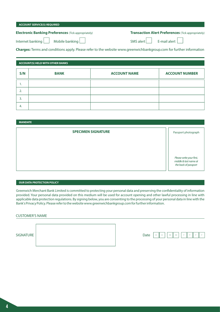#### **ACCOUNT SERVICE(S) REQUIRED**

### **Electronic Banking Preferences** (Tick appropriately)

#### **Transaction Alert Preferences** (Tick appropriately)

Internet banking  $\Box$  Mobile banking

| SMS alert I |  |
|-------------|--|

 $E$ -mail alert

**Charges:** Terms and conditions apply. Please refer to the website www.greenwichbankgroup.com for further information

#### **ACCOUNT(S) HELD WITH OTHER BANKS**

| S/N | <b>BANK</b> | <b>ACCOUNT NAME</b> | <b>ACCOUNT NUMBER</b> |
|-----|-------------|---------------------|-----------------------|
| . . |             |                     |                       |
|     |             |                     |                       |
|     |             |                     |                       |
| 4.  |             |                     |                       |

**MANDATE**

| <b>SPECIMEN SIGNATURE</b> | Passport photograph                                                       |
|---------------------------|---------------------------------------------------------------------------|
|                           |                                                                           |
|                           |                                                                           |
|                           | Please write your first,<br>middle & last name at<br>the back of passport |

#### **OUR DATA PROTECTION POLICY**

Greenwich Merchant Bank Limited is committed to protecting your personal data and preserving the confidentiality of information provided. Your personal data provided on this medium will be used for account opening and other lawful processing in line with applicable data protection regulations. By signing below, you are consenting to the processing of your personal data in line with the Bank's Privacy Policy. Please refer to the website www.greenwichbankgroup.com for further information.

#### CUSTOMER'S NAME

| SIGNATURE | Date | D<br>$\Box$<br>Ш<br>◡ | M N | $\vee$ | $\mathsf{I}$ Y |  |
|-----------|------|-----------------------|-----|--------|----------------|--|
|           |      |                       |     |        |                |  |

| Date | Ш |  |  |  |
|------|---|--|--|--|
|      |   |  |  |  |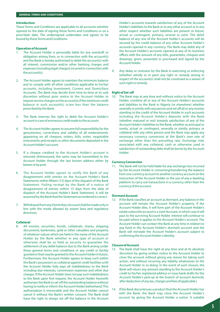#### **Introduction**

These Terms and Conditions are applicable to all accounts whether opened on the date of signing these Terms and Conditions or on a prior/later date. The undersigned undertakes and agrees to be bound by these Terms and Conditions.

#### **Operation of Account**

- 1. The Account Holder is personally liable for any overdraft or obligation arising from, or in connection with the account(s) and the Bank is hereby authorized to debit the account(s) with all interest, commission and/or other banking charges and expenses (including legal charges) incurred in connection with the account(s).
- 2. The Account Holder agrees to maintain the minimum balance and to comply with all other conditions applicable to his/her accounts, including Investment, Current and Domiciliary Accounts. The Bank may decide from time-to-time at its sole discretion without prior notice to the Account Holder to impose service charges on the account(s) if the minimum credit balance in such account(s) is/are less than the balance prescribed by the Bank.
- 3. The Bank reserves the right to debit the Account Holder's account in case of erroneous credit made to the account.
- 4. The Account Holder agrees to assume full responsibility for the genuineness, correctness and validity of all endorsements appearing on all cheques, orders, bills, notes, negotiable instruments and receipts or other documents deposited in the Account Holder's account.
- 5. If a cheque credited to the Account Holder's account is returned dishonoured, the same may be transmitted to the Account Holder through the last known address either by bearer or by post.
- 6. The Account Holder agrees to notify the Bank of any disagreement with entries on the Account Holder's Bank Statements within fifteen (15) days of the dispatch of the Bank Statement. Failing receipt by the Bank of a notice of disagreement of entries within 15 days from the date of dispatch of the Account Holder's Bank Statement, it will be assumed by the Bank that the Statement as rendered is correct.
- 7. Withdrawal from any Domiciliary Account shall be made only in line with the mode allowed by extant laws and regulatory directives.

#### **Collateral**

8. All monies, securities, bonds, collaterals, shares, shipping documents, banknotes, gold or other valuables and property of whatever nature which are held in the name of the Account Holder by the Bank whether in any type of account or otherwise shall be so held as security to guarantee the settlement of any debit balance due to the Bank arising under these general terms and conditions or any credit or facility granted or that may be granted to the Account Holder in future. Furthermore, the Account Holder agrees to keep such within the Bank's possession as collateral against credit facilities until the Account Holder fully pays all indebtedness to the Bank including due interests, commission expenses and other due charges. If the Account Holder does not pay such indebtedness to the Bank upon first request, the Account Holder herewith authorizes the Bank to set off the outstanding balance without having to notify or inform the Account Holder beforehand. This authorization is irrevocable and the Account Holder cannot cancel it without the Bank's written consent. The Bank shall have the right to always set off the balance in the Account

Holder's accounts towards satisfaction of any of the Account Holder's liabilities to the Bank or to any other account or in any other respect whether such liabilities are present or future, actual or contingent, primary, several or joint. The debit balance of any one of the Account Holder's accounts will be secured by the credit balance of any other Account Holder's accounts opened in any currency. The Bank may debit any of the Account Holder's accounts opened at any of its business offices with the amount of any bills, guarantees, cheques and drawings, given, presented or purchased and signed by the Account Holder.

9. Any delay or omission by the Bank in exercising or enforcing (whether wholly or in part) any right or remedy arising in respect of the account(s) shall not be construed as a waiver of such right or remedy.

#### **Right of Set-off**

10. The Bank may at any time and without notice to the Account Holder, combine all or any of the Account Holder's accounts and liabilities to the Bank in Nigeria (or elsewhere) whether severally or jointly with any person and set off all or any monies standing to the credit of the Account Holder in such accounts including the Account Holder's deposits with the Bank (whether matured or not) towards satisfaction of any of the Account Holder's liabilities to the Bank, whether as principal or surety, actual or contingent, severally or jointly, primary or collateral with any other person and the Bank may apply any necessary currency conversion at the Bank's own rate of exchange other than the prevailing rate. Exchange risks associated with any collateral, cash or otherwise used in satisfaction of outstanding debt shall be borne by the Account Holder.

#### **Currency Conversion**

11. The Bank will not be held liable for any exchange loss incurred by the Account Holder in converting/transferring the balance from one currency account to another currency account on the instruction of the Account Holder or the use of any e-banking platform to carry out transactions in a currency other than the currency of the account.

#### **Dormant Account**

12. If the Bank classifies an account as dormant, any balance in the account will remain the Account Holder's property. If the Account Holder dies, it will form part of the Account Holder's estate unless the account is a Joint Account, in which case it will pass to the surviving Account Holder. Interest will continue to be paid where it applies to the Account Holder's account. The Account Holder can contact the Bank at any time in relation to any fund in the Account Holder's dormant account and the Bank will reinstate the Account Holder's account subject to confirming the Account Holder's identity.

#### **Closure of Account**

- 13. The Bank shall have the right at any time and at its absolute discretion by giving written notice to the Account Holder to close the account without giving any reason for taking such action, and without incurring any liability whatsoever to the Account Holder in so doing. In the event of such closure, the Bank will return any amount standing to the Account Holder's credit to his/her registered address or issue bank drafts for the Account Holder's pick-up at the branch of account domicile, after deduction of any tax, charges and fees (if applicable.)
- 14. If the Bank discontinues a product that the Account Holder has with the Bank, the Bank may close the Account Holder's account by giving the Account Holder a notice. A suitable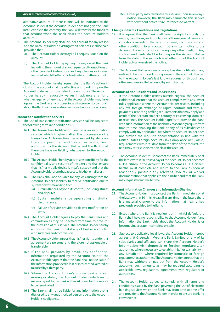#### **GENERAL TERMS AND CONDITIONS (Contd.)**

alternative account (if there is one) will be indicated to the Account Holder. If the Account Holder does not give the Bank instructions to the contrary, the Bank will transfer the funds to that account when the Bank closes the Account Holder's account.

- 15. The Account Holder may close his/her account for any reason and the Account Holder's existing credit balances shall be paid provided that:
	- (a) The Account Holder destroys all cheques issued on the account;
	- (b) The Account Holder repays any money owed the Bank including the amount of any cheque, card transactions or other payment instructions and any charges or interest incurred which the Bank had not debited to the account.

The Account Holder hereby agrees that the Bank's action in closing the account shall be effective and binding upon the Account Holder as from the date of the said notice. The Account Holder hereby irrevocably waives in advance any right, whether legal or otherwise, that the Account Holder may have against the Bank in any proceedings whatsoever to complain about the Bank's actions and/or decisions to close the account.

#### **Transaction Notification Services**

- 16. The use of Transaction Notification Service shall be subject to the following terms and conditions:
	- 16.1 The Transaction Notification Service is an information service which is given after the occurrence of a transaction. All transaction messages sent by alerts are therefore presumed and treated as having been authorized by the Account Holder and the Bank shall therefore have no liability whatsoever to the Account Holder.
	- 16.2 The Account Holder hereby accepts responsibility for the confidentiality and security of the alert and shall ensure that his/her mobile device is in safe custody and that the Account Holder alone has access to his/her email alert.
	- 16.3 The Bank shall not be liable for any loss arising from the Account Holder's inability to receive notification due to system downtime arising from:
		- (a) Circumstances beyond its control, including strikes and disputes.
		- (b) System maintenance upgrading or similar circumstance.
		- (c) Failure of service provider to deliver notification on time.
	- 16.4 The Account Holder agrees to pay the Bank's fees and commission as may be specified from time-to-time, for the provision of this service. The Account Holder hereby authorizes the Bank to debit any of his/her account(s) with such fees and commission.
	- 16.5 The Account Holder agrees that his/her rights under this agreement are personal and therefore not assignable or transferable.
	- 16.6 If the Bank provides by email, any confidential information requested by the Account Holder, the Account Holder agrees that the Bank shall not be liable if the information provided is lost or intercepted, altered or misused by a third party.
	- 16.7 Where the Account Holder's mobile device is lost, missing or stolen, the Account Holder undertakes to make a report to the Bank within 24 hours for the service to be terminated.
	- 16.8 The Bank shall not be liable for any information that is disclosed to any unauthorized person due to the Account Holder's negligence.

16.9 Either party may terminate this service upon seven days' notice. However, the Bank may terminate this service with or without notice if circumstances so warrant.

#### **Change in Terms, Conditions and Regulations**

- 17. It is agreed that the Bank shall have the right to modify the nature, conditions, and stipulations of these general terms and conditions including the rate of interest, commissions and other conditions to any account by a written notice to the Account Holder or by notice through any other medium. Any such amendments shall be binding on the Account Holder from the date of the said notice whether or not the Account Holder actually received the notice.
- 18. The Account Holder agrees to accept as due notification any notice of change in conditions governing the account directed to the Account Holder's last known address or through any other medium and to be bound by such change.

#### **Accounts of Non-Residents and USA Persons**

- 19. If the Account Holder resides outside Nigeria, the Account Holder shall ensure that the account complies with any law or rules applicable where the Account Holder resides, including any tax, foreign exchange or capital controls and with all payments, reporting or filing requirements that may apply as a result of the Account Holder's country of citizenship, domicile or residence. The Account Holder agrees to provide the Bank with such information as the Bank may reasonably require from time to time, enabling the Bank or any of its subsidiaries to comply with any applicable law. Where an Account Holder does not provide the requisite documentation in line with the United States Foreign Accounts Tax Compliance Act (FATCA) requirements within 90 days from the date of the request, the Bank may at its sole discretion close the account.
- 20. The Account Holder must contact the Bank immediately or at the latest within 30 (thirty) days if the Account Holder becomes a USA citizen. If the Account Holder becomes a USA citizen, he/she must complete and return to the Bank as soon as reasonably possible any relevant USA tax or waiver documentation that applies to the him/her and that the Bank may request from time to time.

#### **Account Information Changes and Information Sharing**

- 21. The Account Holder must contact the Bank immediately or at the latest within 30 (thirty) days if at any time in the future there is a material change to the information that he/she had previously provided to the Bank.
- 22. Except where the Bank is negligent or in willful default, the Bank shall have no responsibility to the Account Holder if any information the Bank holds about the Account Holder is or becomes inaccurate, incomplete or stale.
- 23. Subject to applicable local laws, the Account Holder hereby agrees that Greenwich Merchant Bank Limited or any of its subsidiaries and affiliates can share the Account Holder's information with domestic or foreign regulators/tax authorities where necessary to establish his/her tax liability in any jurisdiction, where required by domestic or foreign regulators/tax authorities. The Account Holder agrees that the Bank may withhold or pay out from the Account Holder's account(s) such amounts as may be required according to applicable laws, regulations, agreements with regulators or authorities.
- 24. The Account Holder agrees to comply with all terms and conditions issued by the Bank governing the use of electronic banking services which the Bank may from time to time offer and provide to the Account Holder in order to ensure banking convenience.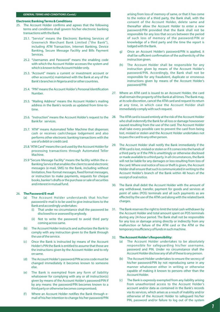#### **GENERAL TERMS AND CONDITIONS (Contd.)**

#### **Electronic Banking Terms & Conditions**

- 25. The Account Holder confirms and agrees that the following terms and conditions shall govern his/her electronic banking transactions with the Bank.
	- 25.1. "Service" means the Electronic Banking Services of Greenwich Merchant Bank Limited ("the Bank"), including ATM Transaction, Internet Banking, Device Banking, Secure Message Facility and Bills Payment Services.
	- 25.2. "Usernames and Password" means the enabling code with which the Account Holder accesses the system and which is known to the Account Holder only.
	- 25.3. "Account" means a current or investment account or other account(s) maintained with the Bank at any of the Bank's branches in Nigeria and/or other countries.
	- 25.4. "PIN" means the Account Holder's Personal Identification Number.
	- 25.5. "Mailing Address" means the Account Holder's mailing address in the Bank's records as updated from time-totime.
	- 25.6. "Instruction"means the Account Holder's request to the Bank for services.
	- 25.7. 'ATM" means Automated Teller Machine that dispenses cash or receives cash/cheque lodgement and also performs other electronic banking transactions with the use of a debit or credit card.
	- 25.8. "ATM Card"means the card used by the Account Holder for processing transactions through Automated Teller Machine.
	- 25.9 "Secure Message Facility" means the facility within the e-Banking Service that enables the client to send electronic messages (e-mail, SMS) to the Bank, including without limitation, free-format messages, fixed format messages, or instruction to make payments, requests for cheque books, banker's drafts or the purchase or sale of securities and interest in mutual fund.

#### 26. **The Password/E-mail**

- (a) The Account Holder understands that his/her password/e-mail is to be used to give instructions to the Bank and accordingly undertakes:
	- (i) That under no circumstance shall the password be disclosed to or assessed by anybody.
	- (ii) Not to write the password to avoid third party coming across same.
- (b) The Account Holder instructs and authorizes the Bank to comply with any instruction given to the Bank through the use of the service.
- (c) Once the Bank is instructed by means of the Account Holder's PIN the Bank is entitled to assume that those are the instructions given by the Account Holder and to rely on same.
- (d) The Account Holder's password/PIN access code must be changed immediately it becomes known to someone else.
- (e) The Bank is exempted from any form of liability whatsoever for complying with any or all instruction(s) given by means of the Account Holder's password/PIN if by any means: the password/PlN becomes known to a third party or otherwise becomes compromised;
- (f) Where an Account Holder notifies the Bank through email of his/her intention to change his/her password/PIN

arising from loss of memory of same, or that it has come to the notice of a third party, the Bank shall, with the consent of the Account Holder, delete same and thereafter allow the Account Holder to enter a new password/PIN provided that the Bank shall not be responsible for any loss that occurs between the period of such loss of memory of the password/PlN or knowledge of a third party and the time the report is lodged with the Bank.

- Once an Account Holder's password/PIN is applied, it shall be sufficient confirmation of the authenticity of the instruction given.
- (h) The Account Holder shall be responsible for any instruction given by means of the Account Holder's password/PIN. Accordingly, the Bank shall not be responsible for any fraudulent, duplicate or erroneous instructions given by means of the Account Holder's password/PIN
- 27. Where an ATM card is issued to an Account Holder, the card shall remain the property of the Bank at all times. The Bank may, at its sole discretion, cancel the ATM card and request its return at any time, in which case the Account Holder shall immediately comply with such request.
- 28. The ATM card is issued entirely at the risk of the Account Holder who shall indemnify the Bank for all loss or damage howsoever caused resulting from the use of the card. The Account Holder shall take every possible care to prevent the card from being lost, mislaid or stolen and the Account Holder undertakes not to pass the card to any other person.
- 29. The Account Holder shall notify the Bank immediately if the ATM card is lost, mislaid or stolen or if it comes into the hands of a third party or if the PIN is unwittingly or otherwise disclosed or made available to a third party. In all circumstances, the Bank will not be liable for any damages or loss resulting from loss of the card. Where oral notice of loss or theft is given, the Account Holder shall ensure that such is communicated in writing to the Account Holder's branch of the Bank within 48 hours of the receipt of oral notice.
- 30. The Bank shall debit the Account Holder with the amount of any withdrawal, transfer, payment for goods and services at point of sales (POS) terminals and all such payments as are effected by the use of the ATM card along with the related bank charges.
- 31. The Bank reserves the right to limit the total cash withdrawn by the Account Holder and total amount spent on POS terminals during any 24-hour period. The Bank shall not be responsible for any loss or damage arising directly or indirectly from any malfunction or failure of the ATM card or the ATM or the temporary insufficiency of funds in such machine.

#### 32. **The Account Holder's Responsibility:**

- (a) The Account Holder undertakes to be absolutely responsible for safeguarding his/her username, password and PIN. Under no circumstance shall the Account Holder disclose any of all of these to any person.
- (b) The Account Holder undertakes to ensure the secrecy of his/her password/PIN by not reproducing same in any manner whatsoever either in writing or otherwise capable of making it known to persons other than the Account Holder.
- (c) The Bank is expressly exempted from any liability arising from unauthorized access to the Account Holder's account and/or data as contained in the Bank's records via its services, which arises as a result of inability and/or otherwise of the Account Holder to safeguard his/her PIN, password and/or failure to log out of the system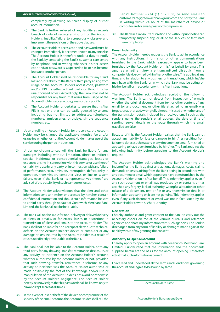#### **GENERAL TERMS AND CONDITIONS (Contd.)**

completely by allowing on screen display of his/her account information.

- (d) The Bank is further relieved of any liability as regards breach of duty of secrecy arising out of the Account Holder's inability/failure to scrupulously observe and implement the provisions of the above clauses.
- The Account Holder's access code and password must be changed immediately it becomes known to anyone else. The Account Holder is therefore under a duty to notify the Bank by contacting the Bank's customer care centre by telephone and in writing whenever his/her access code and/or password is suspected to be or has become known to another person.
- (f) The Account Holder shall be responsible for any fraud, loss and/or liability to the Bank or third party arising from usage of the Account Holder's access code, password and/or PIN by either a third party or through other unauthorised access. Accordingly, the Bank shall not be responsible for any fraud that arises from usage of the Account Holder's access code, password and/or PIN.
- (g) The Account Holder undertakes to ensure that his/her PIN is not one that can be easily guessed by anyone including but not limited to addresses, telephone numbers, anniversaries, birthdays, simple sequence numbers, etc.
- 33. Upon enrolling an Account Holder for the service, the Account Holder may be charged the applicable monthly fee and/or usage fee whether or not the Account Holder makes use of the service during the period in question.
- 34. Under no circumstances will the Bank be liable for any damages including without limitation, direct or indirect, special, incidental or consequential damages, losses or expenses arising in connection with this service or use thereof or inability to use by any party, or in connection with any failure of performance, error, omission, interruption, defect, delay in operation, transmission, computer virus or line or system failure, even if the Bank or its representatives thereof are advised of the possibility of such damage or losses.
- 35. The Account Holder acknowledges that the alert and other information sent to him/her or accessed by him/her contain confidential information and should such information be sent to a third party through no fault of Greenwich Merchant Bank Limited, the Bank shall not be held liable.
- 36. The Bank will not be liable for non-delivery or delayed delivery of alerts or emails, or for errors, losses or distortions in transmission of alerts and emails to the Account Holder. The Bank shall not be liable for non-receipt of alerts due to technical defects on the Account Holder's device or computer or any damage or loss incurred by the Account Holder as a result of causes not directly attributable to the Bank.
- 37. The Bank shall not be liable to the Account Holder, or to any third party for any drawing, transfer, remittance, disclosure, or any activity, or incidence on the Account Holder's account, whether authorized by the Account Holder or not, provided that such drawing, transfer, remittance, disclosure, or any activity or incidence was the Account Holder authorized or made possible by the fact of the knowledge and/or use or manipulation of the Account Holder's password or otherwise by the Account Holder's negligence. The Account Holder hereby acknowledges that his password shall be known only to him and kept secret at all times.
- 38. In the event of loss or theft of the device or compromise of the security of the email account, the Account Holder shall call the

Bank's hotline: +234 (1) 6370000, or send email to customercare@greenwichbankgroup.com and notify the Bank in writing within 24 hours of the loss/theft of device or computer and or email/password compromise.

39. The Bank in its absolute discretion and without prior notice can temporarily suspend any, or all of the services or terminate them completely.

#### **E-mail Indemnity**

The Account Holder hereby requests the Bank to act in accordance with any instructions, information or other communications furnished to the Bank, which reasonably appear to have been furnished by the Account Holder on his/her behalf by email. This applies whether they are transmitted directly from a computer/device owned by him/her or otherwise. This applies at any time, and in relation to any business or transactions, which he/she may have with the Bank, or in which the Bank may be acting on his/her behalf or in accordance with his/her instructions.

The Account Holder acknowledges receipt of the following warning:- The Bank cannot detect from inspection of e-mails whether the original document from text or other content of any email (or any document or other file attached to an email) was forged, unauthorized, wrongfully altered, misused or whether any of the transmission details included in a received email such as the sender's name, the sender's email address, the date or time of sending, server details or the route through which the email travelled are false.

Because of this, the Account Holder realises that the Bank cannot accept any liability for loss or damage to him/her resulting from failure to detect such matters in any document or email furnished or appearing to have been furnished by him/her. The Bank requires the following indemnity before agreeing to the Account Holder's request.

The Account Holder acknowledges the Bank's warning and indemnifies the Bank against any actions, damages, costs, claims, demands or losses arising from the Bank acting in accordance with any document or email which appears to have been furnished by the Account Holder or on his/her behalf. This Indemnity applies even if any such document or email was produced by or contains or has attached any forgery, lack of authority, wrongful alteration or other misuse of a document, text or file or any transmission details or information appearing on it are not genuine. This indemnity applies even if any such document or email was not in fact issued by the Account Holder or with his/her authority.

#### **Declaration**

I hereby authorise and grant consent to the Bank to carry out the necessary checks on me at the various bureaus and reference agencies and share my information with such agencies. The Bank is discharged from any form of liability or damages made against the Bank by virtue of my granting this consent.

#### **Authority To Open an Account**

I hereby apply to open an account with Greenwich Merchant Bank Limited. I understand that the information and the documents supplied herein are the basis for the account opening. I therefore attest that such information is correct.

I have read and understood all the Terms and Conditions governing the account and I agree to be bound by same.

> \_\_\_\_\_\_\_\_\_\_\_\_\_\_\_\_\_\_\_\_\_\_\_\_\_\_\_\_\_\_\_ Account Holder's Name

> \_\_\_\_\_\_\_\_\_\_\_\_\_\_\_\_\_\_\_\_\_\_\_\_\_\_\_\_\_\_\_ Account Holder's Signature and Date